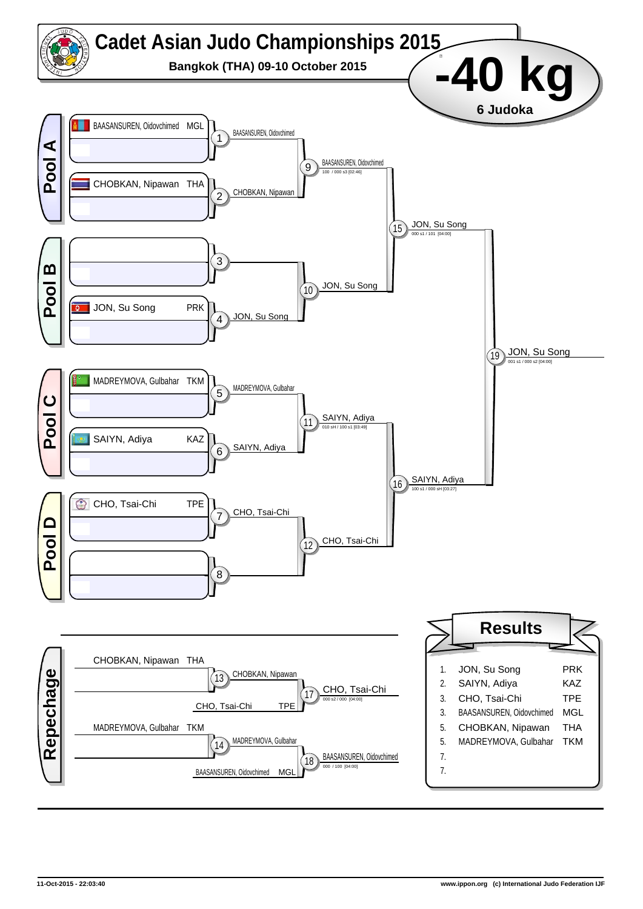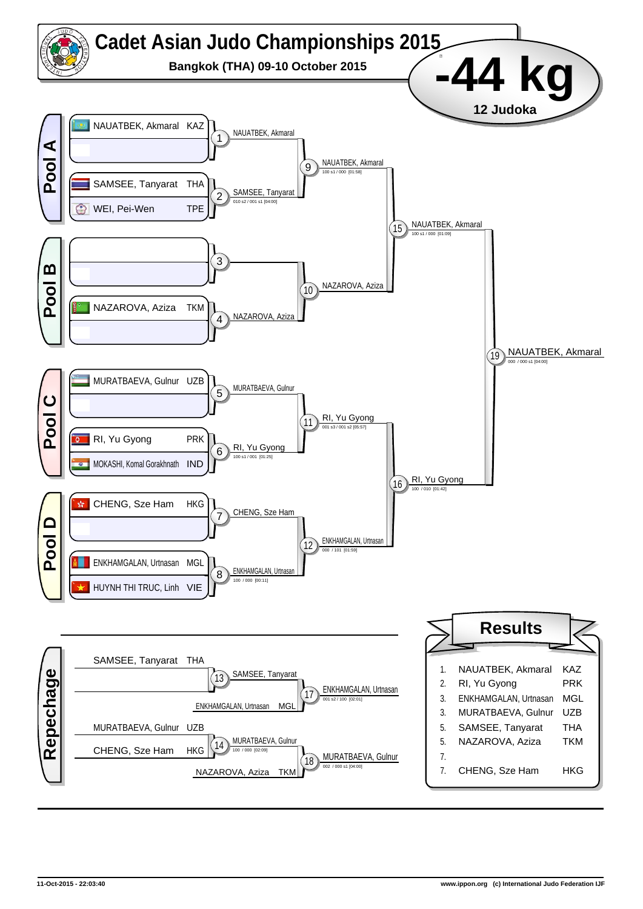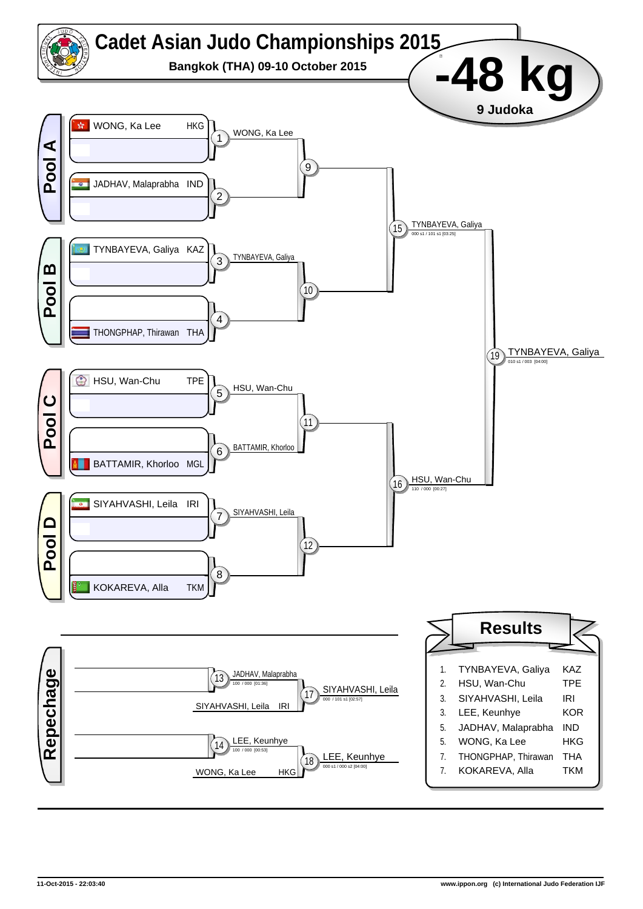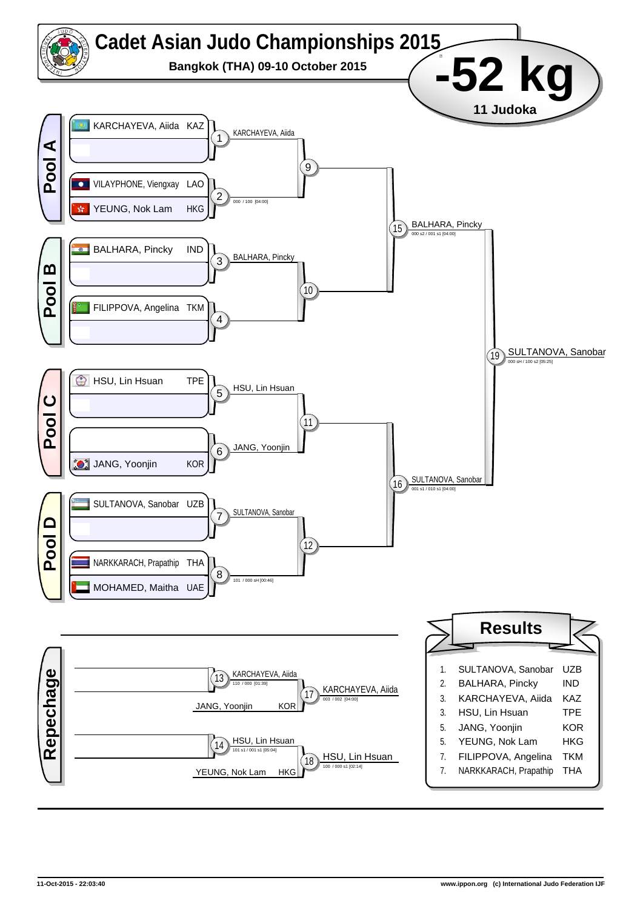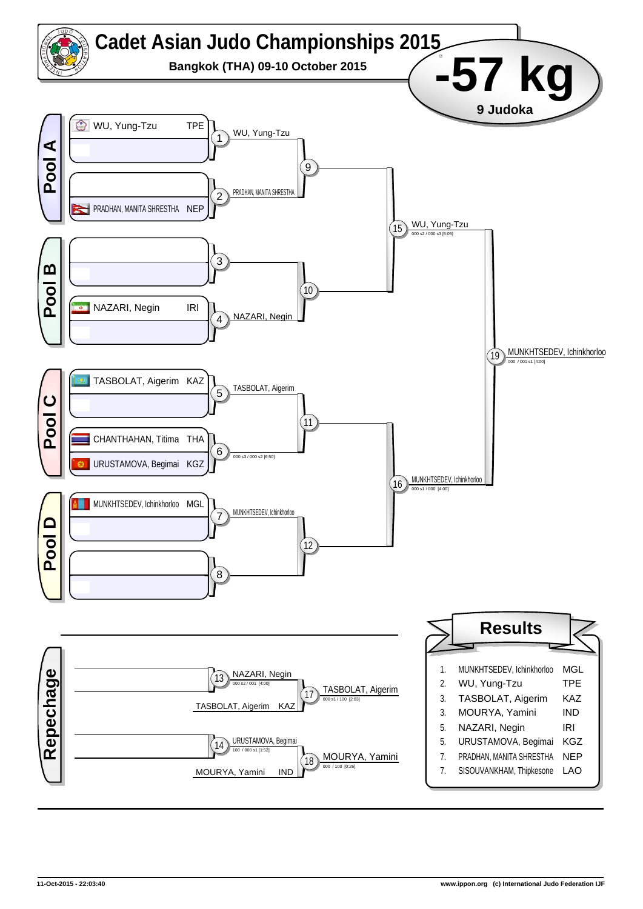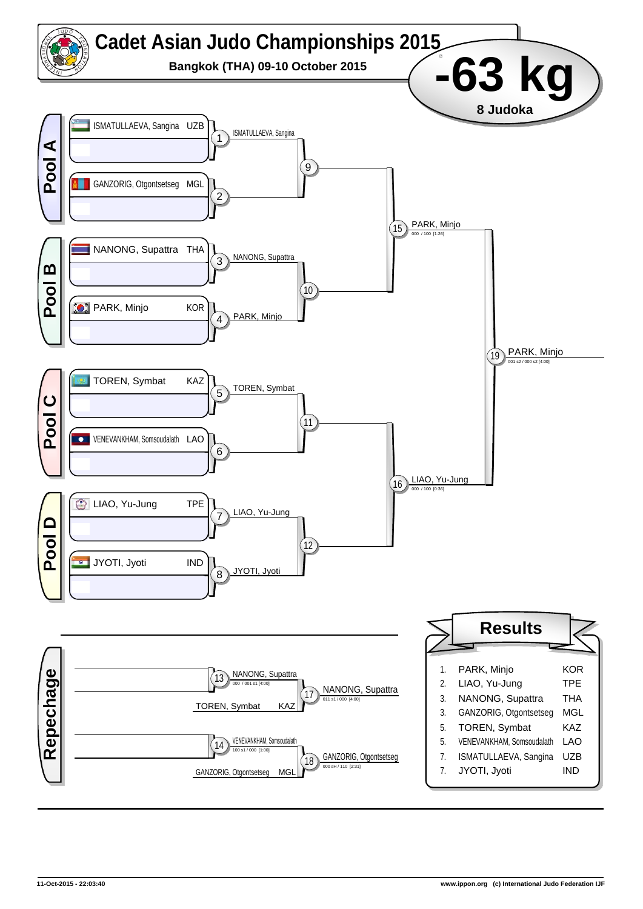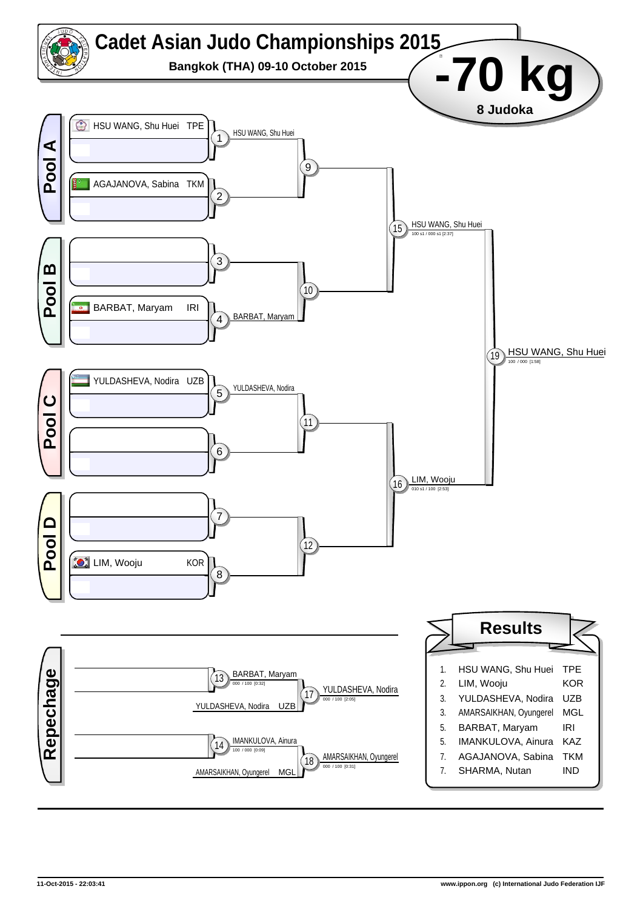